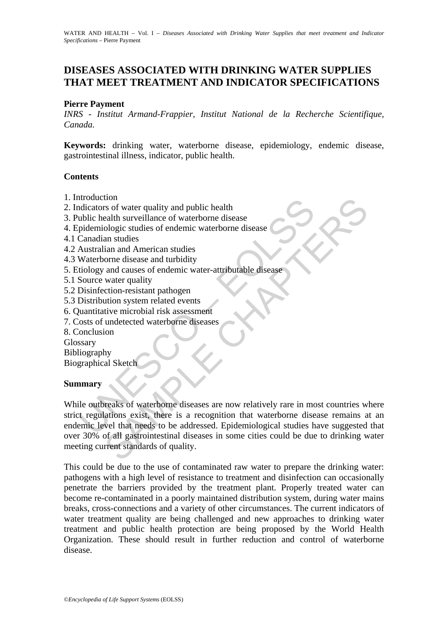# **DISEASES ASSOCIATED WITH DRINKING WATER SUPPLIES THAT MEET TREATMENT AND INDICATOR SPECIFICATIONS**

#### **Pierre Payment**

*INRS - Institut Armand-Frappier, Institut National de la Recherche Scientifique, Canada.*

**Keywords:** drinking water, waterborne disease, epidemiology, endemic disease, gastrointestinal illness, indicator, public health.

#### **Contents**

- 1. Introduction
- 2. Indicators of water quality and public health
- 3. Public health surveillance of waterborne disease
- 4. Epidemiologic studies of endemic waterborne disease
- 4.1 Canadian studies
- 4.2 Australian and American studies
- 4.3 Waterborne disease and turbidity
- 5. Etiology and causes of endemic water-attributable disease
- 5.1 Source water quality
- 5.2 Disinfection-resistant pathogen
- 5.3 Distribution system related events
- 6. Quantitative microbial risk assessment
- 7. Costs of undetected waterborne diseases
- 8. Conclusion

Glossary

Bibliography

Biographical Sketch

#### **Summary**

Exercise of water quality and public health<br>
ublic health surveillance of waterborne disease<br>
pidemiologic studies of endemic waterborne disease<br>
Canadian studies<br>
Canadian studies<br>
Canadian studies<br>
Mustralian and America to the quality and public health<br>
resolutions of water quality and public health<br>
ealth surveillance of waterborne disease<br>
ologic studies of endemic waterborne disease<br>
an an audios<br>
ian and American studies<br>
orne disease While outbreaks of waterborne diseases are now relatively rare in most countries where strict regulations exist, there is a recognition that waterborne disease remains at an endemic level that needs to be addressed. Epidemiological studies have suggested that over 30% of all gastrointestinal diseases in some cities could be due to drinking water meeting current standards of quality.

This could be due to the use of contaminated raw water to prepare the drinking water: pathogens with a high level of resistance to treatment and disinfection can occasionally penetrate the barriers provided by the treatment plant. Properly treated water can become re-contaminated in a poorly maintained distribution system, during water mains breaks, cross-connections and a variety of other circumstances. The current indicators of water treatment quality are being challenged and new approaches to drinking water treatment and public health protection are being proposed by the World Health Organization. These should result in further reduction and control of waterborne disease.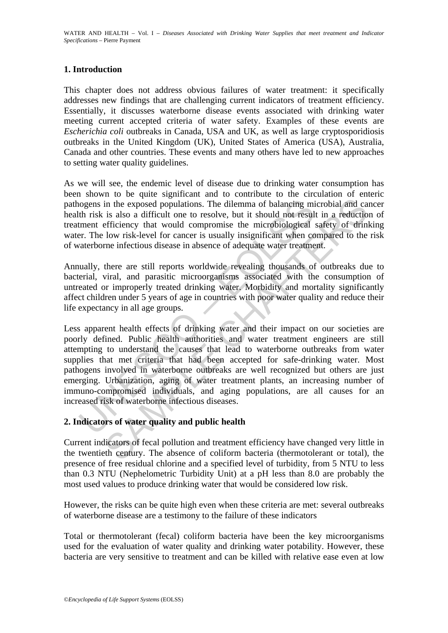# **1. Introduction**

This chapter does not address obvious failures of water treatment: it specifically addresses new findings that are challenging current indicators of treatment efficiency. Essentially, it discusses waterborne disease events associated with drinking water meeting current accepted criteria of water safety. Examples of these events are *Escherichia coli* outbreaks in Canada, USA and UK, as well as large cryptosporidiosis outbreaks in the United Kingdom (UK), United States of America (USA), Australia, Canada and other countries. These events and many others have led to new approaches to setting water quality guidelines.

As we will see, the endemic level of disease due to drinking water consumption has been shown to be quite significant and to contribute to the circulation of enteric pathogens in the exposed populations. The dilemma of balancing microbial and cancer health risk is also a difficult one to resolve, but it should not result in a reduction of treatment efficiency that would compromise the microbiological safety of drinking water. The low risk-level for cancer is usually insignificant when compared to the risk of waterborne infectious disease in absence of adequate water treatment.

Annually, there are still reports worldwide revealing thousands of outbreaks due to bacterial, viral, and parasitic microorganisms associated with the consumption of untreated or improperly treated drinking water. Morbidity and mortality significantly affect children under 5 years of age in countries with poor water quality and reduce their life expectancy in all age groups.

nogens in the exposed populations. The dilemma of balancing mith risk is also a difficult one to resolve, but it should not resultment efficiency that would compromise the microbiological err. The low risk-level for cancer in the exposed populations. The dilemma of balancing microbial and ca<br>is also a difficult one to resolve, but it should not result in a reductio<br>efficiency that would componsine the microbiological safety of drini<br>Iow risk Less apparent health effects of drinking water and their impact on our societies are poorly defined. Public health authorities and water treatment engineers are still attempting to understand the causes that lead to waterborne outbreaks from water supplies that met criteria that had been accepted for safe-drinking water. Most pathogens involved in waterborne outbreaks are well recognized but others are just emerging. Urbanization, aging of water treatment plants, an increasing number of immuno-compromised individuals, and aging populations, are all causes for an increased risk of waterborne infectious diseases.

# **2. Indicators of water quality and public health**

Current indicators of fecal pollution and treatment efficiency have changed very little in the twentieth century. The absence of coliform bacteria (thermotolerant or total), the presence of free residual chlorine and a specified level of turbidity, from 5 NTU to less than 0.3 NTU (Nephelometric Turbidity Unit) at a pH less than 8.0 are probably the most used values to produce drinking water that would be considered low risk.

However, the risks can be quite high even when these criteria are met: several outbreaks of waterborne disease are a testimony to the failure of these indicators

Total or thermotolerant (fecal) coliform bacteria have been the key microorganisms used for the evaluation of water quality and drinking water potability. However, these bacteria are very sensitive to treatment and can be killed with relative ease even at low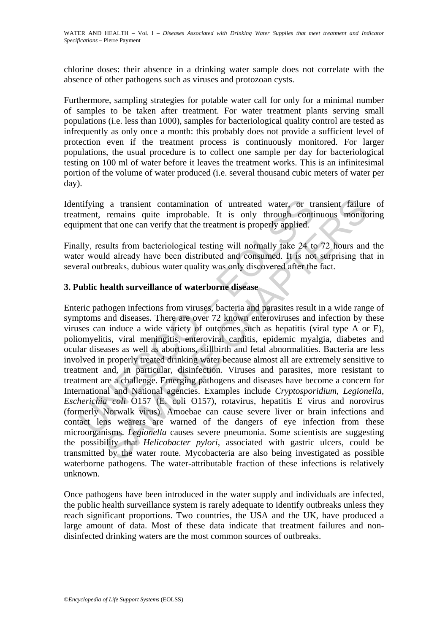chlorine doses: their absence in a drinking water sample does not correlate with the absence of other pathogens such as viruses and protozoan cysts.

Furthermore, sampling strategies for potable water call for only for a minimal number of samples to be taken after treatment. For water treatment plants serving small populations (i.e. less than 1000), samples for bacteriological quality control are tested as infrequently as only once a month: this probably does not provide a sufficient level of protection even if the treatment process is continuously monitored. For larger populations, the usual procedure is to collect one sample per day for bacteriological testing on 100 ml of water before it leaves the treatment works. This is an infinitesimal portion of the volume of water produced (i.e. several thousand cubic meters of water per day).

Identifying a transient contamination of untreated water, or transient failure of treatment, remains quite improbable. It is only through continuous monitoring equipment that one can verify that the treatment is properly applied.

Finally, results from bacteriological testing will normally take 24 to 72 hours and the water would already have been distributed and consumed. It is not surprising that in several outbreaks, dubious water quality was only discovered after the fact.

# **3. Public health surveillance of waterborne disease**

tifying a transient contamination of untreated water, or trement, remains quite improbable. It is only through conti-<br>pment that one can verify that the treatment is properly applied.<br>
Illy, results from bacteriological te a transient contamination of untreated water, or transient failure remains quite improbable. It is only through continuous monito that one can verify that the treatment is properly applied.<br>
sults from bacteriological tes Enteric pathogen infections from viruses, bacteria and parasites result in a wide range of symptoms and diseases. There are over 72 known enteroviruses and infection by these viruses can induce a wide variety of outcomes such as hepatitis (viral type A or E), poliomyelitis, viral meningitis, enteroviral carditis, epidemic myalgia, diabetes and ocular diseases as well as abortions, stillbirth and fetal abnormalities. Bacteria are less involved in properly treated drinking water because almost all are extremely sensitive to treatment and, in particular, disinfection. Viruses and parasites, more resistant to treatment are a challenge. Emerging pathogens and diseases have become a concern for International and National agencies. Examples include *Cryptosporidium*, *Legionella*, *Escherichia coli* O157 (E. coli O157), rotavirus, hepatitis E virus and norovirus (formerly Norwalk virus). Amoebae can cause severe liver or brain infections and contact lens wearers are warned of the dangers of eye infection from these microorganisms. *Legionella* causes severe pneumonia. Some scientists are suggesting the possibility that *Helicobacter pylori*, associated with gastric ulcers, could be transmitted by the water route. Mycobacteria are also being investigated as possible waterborne pathogens. The water-attributable fraction of these infections is relatively unknown.

Once pathogens have been introduced in the water supply and individuals are infected, the public health surveillance system is rarely adequate to identify outbreaks unless they reach significant proportions. Two countries, the USA and the UK, have produced a large amount of data. Most of these data indicate that treatment failures and nondisinfected drinking waters are the most common sources of outbreaks.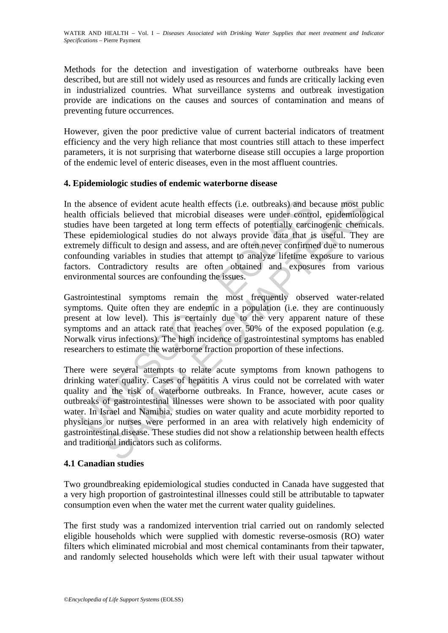Methods for the detection and investigation of waterborne outbreaks have been described, but are still not widely used as resources and funds are critically lacking even in industrialized countries. What surveillance systems and outbreak investigation provide are indications on the causes and sources of contamination and means of preventing future occurrences.

However, given the poor predictive value of current bacterial indicators of treatment efficiency and the very high reliance that most countries still attach to these imperfect parameters, it is not surprising that waterborne disease still occupies a large proportion of the endemic level of enteric diseases, even in the most affluent countries.

#### **4. Epidemiologic studies of endemic waterborne disease**

the absence of evident acute health effects (i.e. outbreaks) and be<br>th officials believed that microbial diseases were under contracties<br>have been targeted at long term effects of potentially carcin<br>se epidemiological stud ence of evident acute health effects (i.e. outbreaks) and because most pu<br>cials believed that microbial diseases were under control, epidemiological<br>believed that microbial diseases were under control, epidemiological<br>lemi In the absence of evident acute health effects (i.e. outbreaks) and because most public health officials believed that microbial diseases were under control, epidemiological studies have been targeted at long term effects of potentially carcinogenic chemicals. These epidemiological studies do not always provide data that is useful. They are extremely difficult to design and assess, and are often never confirmed due to numerous confounding variables in studies that attempt to analyze lifetime exposure to various factors. Contradictory results are often obtained and exposures from various environmental sources are confounding the issues.

Gastrointestinal symptoms remain the most frequently observed water-related symptoms. Quite often they are endemic in a population (i.e. they are continuously present at low level). This is certainly due to the very apparent nature of these symptoms and an attack rate that reaches over 50% of the exposed population (e.g. Norwalk virus infections). The high incidence of gastrointestinal symptoms has enabled researchers to estimate the waterborne fraction proportion of these infections.

There were several attempts to relate acute symptoms from known pathogens to drinking water quality. Cases of hepatitis A virus could not be correlated with water quality and the risk of waterborne outbreaks. In France, however, acute cases or outbreaks of gastrointestinal illnesses were shown to be associated with poor quality water. In Israel and Namibia, studies on water quality and acute morbidity reported to physicians or nurses were performed in an area with relatively high endemicity of gastrointestinal disease. These studies did not show a relationship between health effects and traditional indicators such as coliforms.

# **4.1 Canadian studies**

Two groundbreaking epidemiological studies conducted in Canada have suggested that a very high proportion of gastrointestinal illnesses could still be attributable to tapwater consumption even when the water met the current water quality guidelines.

The first study was a randomized intervention trial carried out on randomly selected eligible households which were supplied with domestic reverse-osmosis (RO) water filters which eliminated microbial and most chemical contaminants from their tapwater, and randomly selected households which were left with their usual tapwater without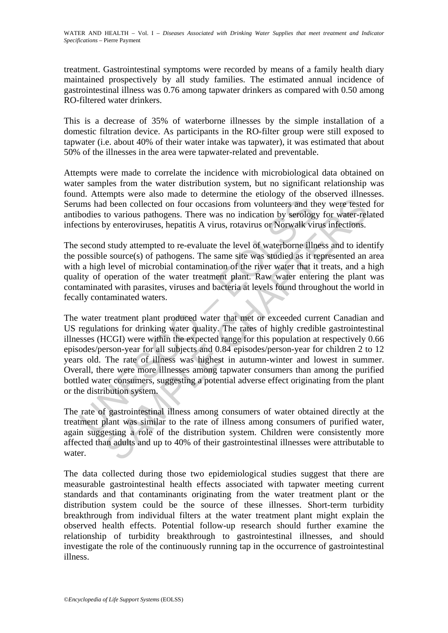treatment. Gastrointestinal symptoms were recorded by means of a family health diary maintained prospectively by all study families. The estimated annual incidence of gastrointestinal illness was 0.76 among tapwater drinkers as compared with 0.50 among RO-filtered water drinkers.

This is a decrease of 35% of waterborne illnesses by the simple installation of a domestic filtration device. As participants in the RO-filter group were still exposed to tapwater (i.e. about 40% of their water intake was tapwater), it was estimated that about 50% of the illnesses in the area were tapwater-related and preventable.

Attempts were made to correlate the incidence with microbiological data obtained on water samples from the water distribution system, but no significant relationship was found. Attempts were also made to determine the etiology of the observed illnesses. Serums had been collected on four occasions from volunteers and they were tested for antibodies to various pathogens. There was no indication by serology for water-related infections by enteroviruses, hepatitis A virus, rotavirus or Norwalk virus infections.

The second study attempted to re-evaluate the level of waterborne illness and to identify the possible source(s) of pathogens. The same site was studied as it represented an area with a high level of microbial contamination of the river water that it treats, and a high quality of operation of the water treatment plant. Raw water entering the plant was contaminated with parasites, viruses and bacteria at levels found throughout the world in fecally contaminated waters.

Ims had been collected on four occasions from volunteers and thodies to various pathogens. There was no indication by serolog<br>ctions by enteroviruses, hepatitis A virus, rotavirus or Norwalk vi<br>second study attempted to re d been collected on four occasions from volunteers and they were testecto various pathogens. There was no indication by serology for water-rel by enteroviruses, hepatitis A virus, rotavirus or Norwalk virus infections.<br>I s The water treatment plant produced water that met or exceeded current Canadian and US regulations for drinking water quality. The rates of highly credible gastrointestinal illnesses (HCGI) were within the expected range for this population at respectively 0.66 episodes/person-year for all subjects and 0.84 episodes/person-year for children 2 to 12 years old. The rate of illness was highest in autumn-winter and lowest in summer. Overall, there were more illnesses among tapwater consumers than among the purified bottled water consumers, suggesting a potential adverse effect originating from the plant or the distribution system.

The rate of gastrointestinal illness among consumers of water obtained directly at the treatment plant was similar to the rate of illness among consumers of purified water, again suggesting a role of the distribution system. Children were consistently more affected than adults and up to 40% of their gastrointestinal illnesses were attributable to water.

The data collected during those two epidemiological studies suggest that there are measurable gastrointestinal health effects associated with tapwater meeting current standards and that contaminants originating from the water treatment plant or the distribution system could be the source of these illnesses. Short-term turbidity breakthrough from individual filters at the water treatment plant might explain the observed health effects. Potential follow-up research should further examine the relationship of turbidity breakthrough to gastrointestinal illnesses, and should investigate the role of the continuously running tap in the occurrence of gastrointestinal illness.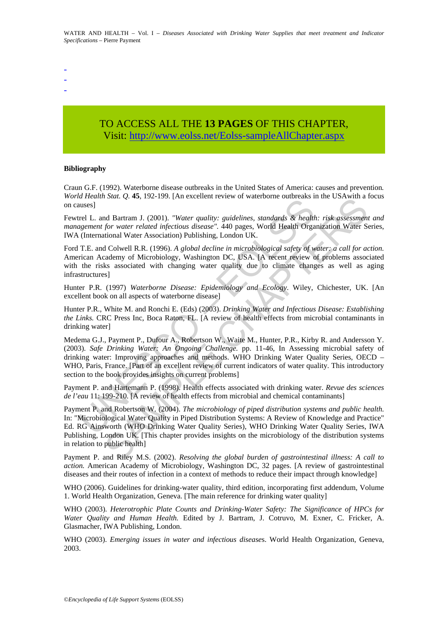-

- -

# TO ACCESS ALL THE **13 PAGES** OF THIS CHAPTER, Visit: [http://www.eolss.net/Eolss-sampleAllChapter.aspx](https://www.eolss.net/ebooklib/sc_cart.aspx?File=E2-20A-01-06)

#### **Bibliography**

Craun G.F. (1992). Waterborne disease outbreaks in the United States of America: causes and prevention*. World Health Stat. Q.* **45**, 192-199. [An excellent review of waterborne outbreaks in the USAwith a focus on causes]

Fewtrel L. and Bartram J. (2001). *"Water quality: guidelines, standards & health: risk assessment and management for water related infectious disease".* 440 pages, World Health Organization Water Series, IWA (International Water Association) Publishing, London UK.

Ford T.E. and Colwell R.R. (1996). *A global decline in microbiological safety of water: a call for action.* American Academy of Microbiology, Washington DC, USA. [A recent review of problems associated with the risks associated with changing water quality due to climate changes as well as aging infrastructures]

Hunter P.R. (1997) *Waterborne Disease: Epidemiology and Ecology*. Wiley, Chichester, UK. [An excellent book on all aspects of waterborne disease]

Hunter P.R., White M. and Ronchi E. (Eds) (2003). *Drinking Water and Infectious Disease: Establishing the Links.* CRC Press Inc, Boca Raton, FL. [A review of health effects from microbial contaminants in drinking water]

*HAGER 11 Males 20.4, 122-123.* [*An execution view of waterbone butoreass in*<br>the leads of the matter related infectious disease". 440 pages, World Health Organizer and figure in for water related infectious disease". 440 Four, Q. 43, 192-199. [An excelient review of wateroonic outoecas in the GSAWnin and Bartram J. (2001). "Water quality: guidelines, standards & health: risk assessment for water related infercious disease," A40 pages. Worl Medema G.J., Payment P., Dufour A., Robertson W., Waite M., Hunter, P.R., Kirby R. and Andersson Y. (2003). *Safe Drinking Water: An Ongoing Challenge.* pp. 11-46, In Assessing microbial safety of drinking water: Improving approaches and methods. WHO Drinking Water Quality Series, OECD – WHO, Paris, France. [Part of an excellent review of current indicators of water quality. This introductory section to the book provides insights on current problems]

Payment P. and Hartemann P. (1998). Health effects associated with drinking water. *Revue des sciences de l'eau* 11: 199-210. [A review of health effects from microbial and chemical contaminants]

Payment P. and Robertson W. (2004). *The microbiology of piped distribution systems and public health.* In: "Microbiological Water Quality in Piped Distribution Systems: A Review of Knowledge and Practice" Ed. RG Ainsworth (WHO Drinking Water Quality Series), WHO Drinking Water Quality Series, IWA Publishing, London UK. [This chapter provides insights on the microbiology of the distribution systems in relation to public health]

Payment P. and Riley M.S. (2002). *Resolving the global burden of gastrointestinal illness: A call to action.* American Academy of Microbiology, Washington DC, 32 pages. [A review of gastrointestinal diseases and their routes of infection in a context of methods to reduce their impact through knowledge]

WHO (2006). Guidelines for drinking-water quality, third edition, incorporating first addendum, Volume 1. World Health Organization, Geneva. [The main reference for drinking water quality]

WHO (2003). *Heterotrophic Plate Counts and Drinking-Water Safety: The Significance of HPCs for Water Quality and Human Health.* Edited by J. Bartram, J. Cotruvo, M. Exner, C. Fricker, A. Glasmacher, IWA Publishing, London.

WHO (2003). *Emerging issues in water and infectious disease*s. World Health Organization, Geneva, 2003.